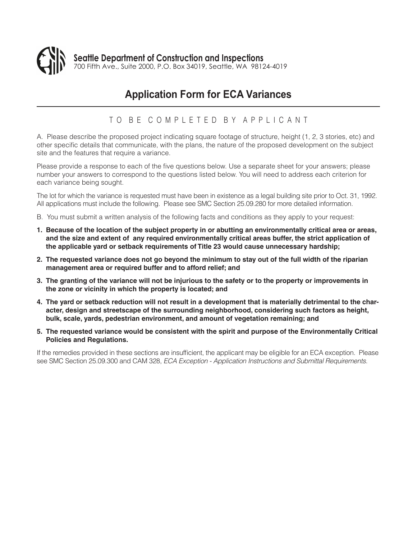

# **Application Form for ECA Variances**

#### TO BE COMPLETED BY APPLICANT

A. Please describe the proposed project indicating square footage of structure, height (1, 2, 3 stories, etc) and other specific details that communicate, with the plans, the nature of the proposed development on the subject site and the features that require a variance.

Please provide a response to each of the five questions below. Use a separate sheet for your answers; please number your answers to correspond to the questions listed below. You will need to address each criterion for each variance being sought.

The lot for which the variance is requested must have been in existence as a legal building site prior to Oct. 31, 1992. All applications must include the following. Please see SMC Section 25.09.280 for more detailed information.

- B. You must submit a written analysis of the following facts and conditions as they apply to your request:
- **1. Because of the location of the subject property in or abutting an environmentally critical area or areas, and the size and extent of any required environmentally critical areas buffer, the strict application of the applicable yard or setback requirements of Title 23 would cause unnecessary hardship;**
- **2. The requested variance does not go beyond the minimum to stay out of the full width of the riparian management area or required buffer and to afford relief; and**
- **3. The granting of the variance will not be injurious to the safety or to the property or improvements in the zone or vicinity in which the property is located; and**
- **4. The yard or setback reduction will not result in a development that is materially detrimental to the character, design and streetscape of the surrounding neighborhood, considering such factors as height, bulk, scale, yards, pedestrian environment, and amount of vegetation remaining; and**
- **5. The requested variance would be consistent with the spirit and purpose of the Environmentally Critical Policies and Regulations.**

If the remedies provided in these sections are insufficient, the applicant may be eligible for an ECA exception. Please see SMC Section 25.09.300 and CAM 328, *ECA Exception - Application Instructions and Submittal Requirements*.